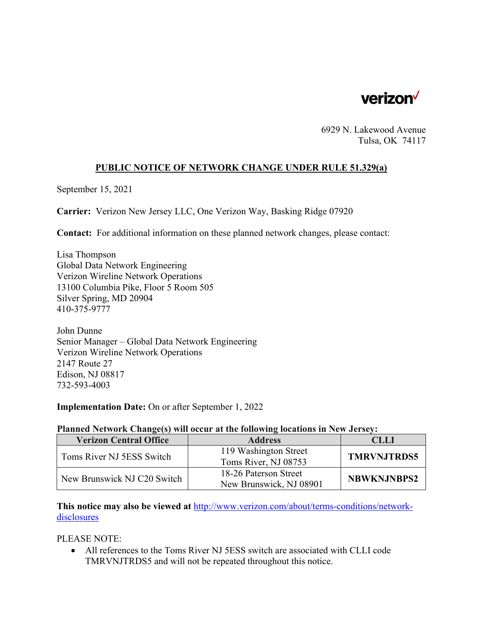

6929 N. Lakewood Avenue Tulsa, OK 74117

## **PUBLIC NOTICE OF NETWORK CHANGE UNDER RULE 51.329(a)**

September 15, 2021

**Carrier:** Verizon New Jersey LLC, One Verizon Way, Basking Ridge 07920

**Contact:** For additional information on these planned network changes, please contact:

Lisa Thompson Global Data Network Engineering Verizon Wireline Network Operations 13100 Columbia Pike, Floor 5 Room 505 Silver Spring, MD 20904 410-375-9777

John Dunne Senior Manager – Global Data Network Engineering Verizon Wireline Network Operations 2147 Route 27 Edison, NJ 08817 732-593-4003

**Implementation Date:** On or after September 1, 2022

## **Planned Network Change(s) will occur at the following locations in New Jersey:**

| <b>Verizon Central Office</b> | <b>Address</b>          | <b>CLLI</b>        |
|-------------------------------|-------------------------|--------------------|
| Toms River NJ 5ESS Switch     | 119 Washington Street   | <b>TMRVNJTRDS5</b> |
|                               | Toms River, NJ 08753    |                    |
| New Brunswick NJ C20 Switch   | 18-26 Paterson Street   | <b>NBWKNJNBPS2</b> |
|                               | New Brunswick, NJ 08901 |                    |

**This notice may also be viewed at** http://www.verizon.com/about/terms-conditions/networkdisclosures

PLEASE NOTE:

 All references to the Toms River NJ 5ESS switch are associated with CLLI code TMRVNJTRDS5 and will not be repeated throughout this notice.